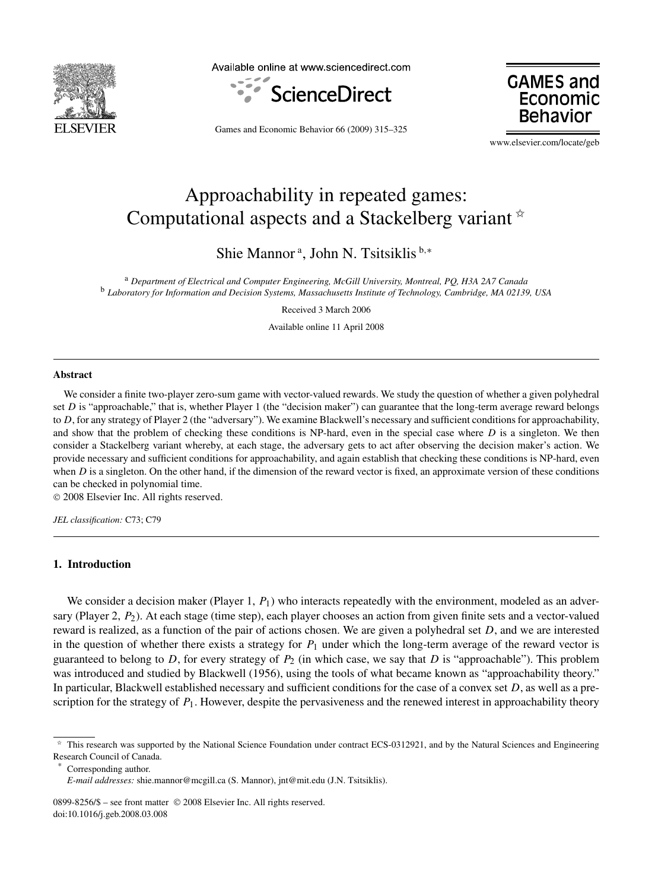

Available online at www.sciencedirect.com





Games and Economic Behavior 66 (2009) 315–325

www.elsevier.com/locate/geb

# Approachability in repeated games: Computational aspects and a Stackelberg variant  $*$

Shie Mannor<sup>a</sup>, John N. Tsitsiklis<sup>b,∗</sup>

<sup>a</sup> *Department of Electrical and Computer Engineering, McGill University, Montreal, PQ, H3A 2A7 Canada* <sup>b</sup> *Laboratory for Information and Decision Systems, Massachusetts Institute of Technology, Cambridge, MA 02139, USA*

Received 3 March 2006

Available online 11 April 2008

#### **Abstract**

We consider a finite two-player zero-sum game with vector-valued rewards. We study the question of whether a given polyhedral set *D* is "approachable," that is, whether Player 1 (the "decision maker") can guarantee that the long-term average reward belongs to *D*, for any strategy of Player 2 (the "adversary"). We examine Blackwell's necessary and sufficient conditions for approachability, and show that the problem of checking these conditions is NP-hard, even in the special case where *D* is a singleton. We then consider a Stackelberg variant whereby, at each stage, the adversary gets to act after observing the decision maker's action. We provide necessary and sufficient conditions for approachability, and again establish that checking these conditions is NP-hard, even when *D* is a singleton. On the other hand, if the dimension of the reward vector is fixed, an approximate version of these conditions can be checked in polynomial time.

© 2008 Elsevier Inc. All rights reserved.

*JEL classification:* C73; C79

## **1. Introduction**

We consider a decision maker (Player 1, *P*<sub>1</sub>) who interacts repeatedly with the environment, modeled as an adversary (Player 2, *P*2). At each stage (time step), each player chooses an action from given finite sets and a vector-valued reward is realized, as a function of the pair of actions chosen. We are given a polyhedral set *D*, and we are interested in the question of whether there exists a strategy for  $P_1$  under which the long-term average of the reward vector is guaranteed to belong to *D*, for every strategy of *P*<sup>2</sup> (in which case, we say that *D* is "approachable"). This problem was introduced and studied by Blackwell (1956), using the tools of what became known as "approachability theory." In particular, Blackwell established necessary and sufficient conditions for the case of a convex set *D*, as well as a prescription for the strategy of  $P_1$ . However, despite the pervasiveness and the renewed interest in approachability theory

Corresponding author.

 $*$  This research was supported by the National Science Foundation under contract ECS-0312921, and by the Natural Sciences and Engineering Research Council of Canada.

*E-mail addresses:* shie.mannor@mcgill.ca (S. Mannor), jnt@mit.edu (J.N. Tsitsiklis).

<sup>0899-8256/\$ –</sup> see front matter © 2008 Elsevier Inc. All rights reserved. doi:10.1016/j.geb.2008.03.008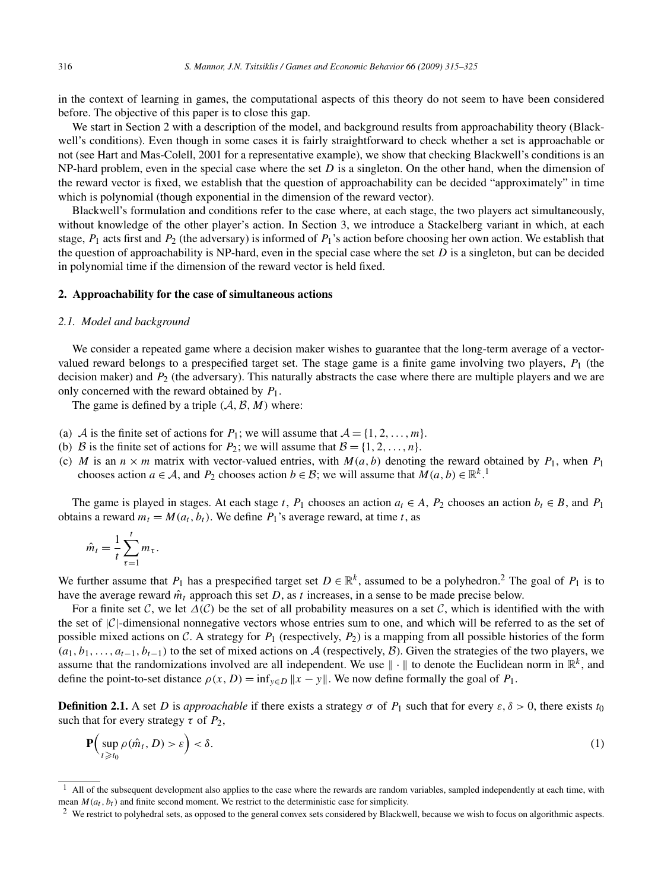in the context of learning in games, the computational aspects of this theory do not seem to have been considered before. The objective of this paper is to close this gap.

We start in Section 2 with a description of the model, and background results from approachability theory (Blackwell's conditions). Even though in some cases it is fairly straightforward to check whether a set is approachable or not (see Hart and Mas-Colell, 2001 for a representative example), we show that checking Blackwell's conditions is an NP-hard problem, even in the special case where the set *D* is a singleton. On the other hand, when the dimension of the reward vector is fixed, we establish that the question of approachability can be decided "approximately" in time which is polynomial (though exponential in the dimension of the reward vector).

Blackwell's formulation and conditions refer to the case where, at each stage, the two players act simultaneously, without knowledge of the other player's action. In Section 3, we introduce a Stackelberg variant in which, at each stage,  $P_1$  acts first and  $P_2$  (the adversary) is informed of  $P_1$ 's action before choosing her own action. We establish that the question of approachability is NP-hard, even in the special case where the set  $D$  is a singleton, but can be decided in polynomial time if the dimension of the reward vector is held fixed.

### **2. Approachability for the case of simultaneous actions**

#### *2.1. Model and background*

We consider a repeated game where a decision maker wishes to guarantee that the long-term average of a vectorvalued reward belongs to a prespecified target set. The stage game is a finite game involving two players, *P*<sup>1</sup> (the decision maker) and *P*<sup>2</sup> (the adversary). This naturally abstracts the case where there are multiple players and we are only concerned with the reward obtained by *P*1.

The game is defined by a triple  $(A, \mathcal{B}, M)$  where:

- (a) A is the finite set of actions for  $P_1$ ; we will assume that  $A = \{1, 2, ..., m\}$ .
- (b) B is the finite set of actions for  $P_2$ ; we will assume that  $B = \{1, 2, ..., n\}$ .
- (c) *M* is an  $n \times m$  matrix with vector-valued entries, with  $M(a, b)$  denoting the reward obtained by  $P_1$ , when  $P_1$ chooses action *a* ∈ *A*, and *P*<sub>2</sub> chooses action *b* ∈ *B*; we will assume that *M*(*a*, *b*) ∈  $\mathbb{R}^{k}$ .<sup>1</sup>

The game is played in stages. At each stage *t*,  $P_1$  chooses an action  $a_t \in A$ ,  $P_2$  chooses an action  $b_t \in B$ , and  $P_1$ obtains a reward  $m_t = M(a_t, b_t)$ . We define  $P_1$ 's average reward, at time *t*, as

$$
\hat{m}_t = \frac{1}{t} \sum_{\tau=1}^t m_\tau.
$$

We further assume that  $P_1$  has a prespecified target set  $D \in \mathbb{R}^k$ , assumed to be a polyhedron.<sup>2</sup> The goal of  $P_1$  is to have the average reward  $\hat{m}_t$  approach this set *D*, as *t* increases, in a sense to be made precise below.

For a finite set C, we let  $\Delta(C)$  be the set of all probability measures on a set C, which is identified with the with the set of  $|C|$ -dimensional nonnegative vectors whose entries sum to one, and which will be referred to as the set of possible mixed actions on C. A strategy for  $P_1$  (respectively,  $P_2$ ) is a mapping from all possible histories of the form  $(a_1, b_1, \ldots, a_{t-1}, b_{t-1})$  to the set of mixed actions on A (respectively, B). Given the strategies of the two players, we assume that the randomizations involved are all independent. We use  $\|\cdot\|$  to denote the Euclidean norm in  $\mathbb{R}^k$ , and define the point-to-set distance  $\rho(x, D) = \inf_{y \in D} ||x - y||$ . We now define formally the goal of  $P_1$ .

**Definition 2.1.** A set *D* is *approachable* if there exists a strategy  $\sigma$  of  $P_1$  such that for every  $\varepsilon$ ,  $\delta > 0$ , there exists  $t_0$ such that for every strategy  $\tau$  of  $P_2$ ,

$$
\mathbf{P}\Big(\sup_{t\geq t_0}\rho(\hat{m}_t,D) > \varepsilon\Big) < \delta.\tag{1}
$$

 $<sup>1</sup>$  All of the subsequent development also applies to the case where the rewards are random variables, sampled independently at each time, with</sup> mean  $M(a_t, b_t)$  and finite second moment. We restrict to the deterministic case for simplicity.

<sup>&</sup>lt;sup>2</sup> We restrict to polyhedral sets, as opposed to the general convex sets considered by Blackwell, because we wish to focus on algorithmic aspects.